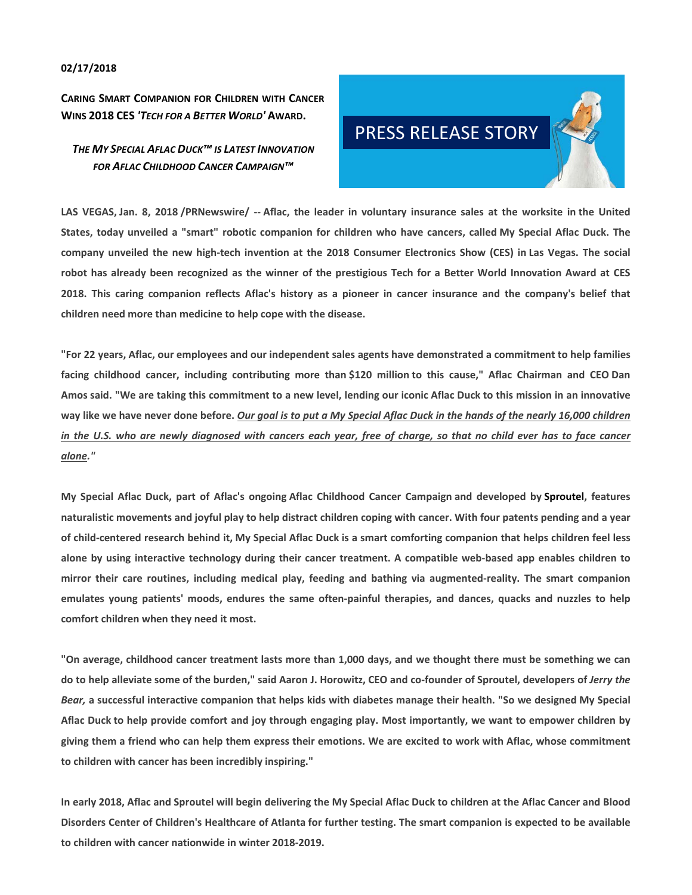## **02/17/2018**

**CARING SMART COMPANION FOR CHILDREN WITH CANCER WINS 2018 CES** *'TECH FOR A BETTER WORLD'* **AWARD.**

# *THE MY SPECIAL AFLAC DUCK™ IS LATEST INNOVATION FOR AFLAC CHILDHOOD CANCER CAMPAIGN™*



LAS VEGAS, Jan. 8, 2018 /PRNewswire/ -- Aflac, the leader in voluntary insurance sales at the worksite in the United States, today unveiled a "smart" robotic companion for children who have cancers, called My Special Aflac Duck. The company unveiled the new high-tech invention at the 2018 Consumer Electronics Show (CES) in Las Vegas. The social robot has already been recognized as the winner of the prestigious Tech for a Better World Innovation Award at CES 2018. This caring companion reflects Aflac's history as a pioneer in cancer insurance and the company's belief that **children need more than medicine to help cope with the disease.**

"For 22 years, Aflac, our employees and our independent sales agents have demonstrated a commitment to help families facing childhood cancer, including contributing more than \$120 million to this cause," Aflac Chairman and CEO Dan Amos said. "We are taking this commitment to a new level, lending our iconic Aflac Duck to this mission in an innovative way like we have never done before. Our goal is to put a My Special Aflac Duck in the hands of the nearly 16,000 children in the U.S. who are newly diagnosed with cancers each year, free of charge, so that no child ever has to face cancer *alone."*

My Special Aflac Duck, part of Aflac's ongoing Aflac Childhood Cancer Campaign and developed by Sproutel, features naturalistic movements and joyful play to help distract children coping with cancer. With four patents pending and a year of child-centered research behind it, My Special Aflac Duck is a smart comforting companion that helps children feel less alone by using interactive technology during their cancer treatment. A compatible web-based app enables children to mirror their care routines, including medical play, feeding and bathing via augmented-reality. The smart companion emulates young patients' moods, endures the same often-painful therapies, and dances, quacks and nuzzles to help **comfort children when they need it most.**

"On average, childhood cancer treatment lasts more than 1,000 days, and we thought there must be something we can do to help alleviate some of the burden," said Aaron J. Horowitz, CEO and co-founder of Sproutel, developers of Jerry the Bear, a successful interactive companion that helps kids with diabetes manage their health. "So we designed My Special Aflac Duck to help provide comfort and joy through engaging play. Most importantly, we want to empower children by giving them a friend who can help them express their emotions. We are excited to work with Aflac, whose commitment **to children with cancer has been incredibly inspiring."** 

In early 2018, Aflac and Sproutel will begin delivering the My Special Aflac Duck to children at the Aflac Cancer and Blood Disorders Center of Children's Healthcare of Atlanta for further testing. The smart companion is expected to be available **to children with cancer nationwide in winter 2018‐2019.**